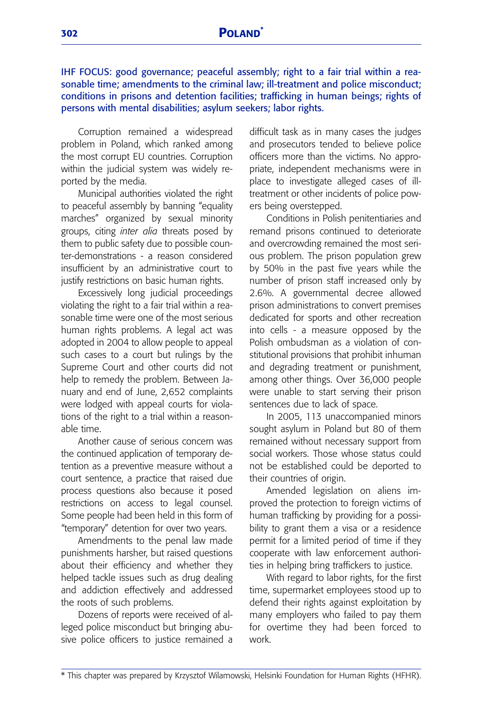IHF FOCUS: good governance; peaceful assembly; right to a fair trial within a reasonable time; amendments to the criminal law; ill-treatment and police misconduct; conditions in prisons and detention facilities; trafficking in human beings; rights of persons with mental disabilities; asylum seekers; labor rights.

Corruption remained a widespread problem in Poland, which ranked among the most corrupt EU countries. Corruption within the judicial system was widely reported by the media.

Municipal authorities violated the right to peaceful assembly by banning "equality marches" organized by sexual minority groups, citing *inter alia* threats posed by them to public safety due to possible counter-demonstrations - a reason considered insufficient by an administrative court to justify restrictions on basic human rights.

Excessively long judicial proceedings violating the right to a fair trial within a reasonable time were one of the most serious human rights problems. A legal act was adopted in 2004 to allow people to appeal such cases to a court but rulings by the Supreme Court and other courts did not help to remedy the problem. Between January and end of June, 2,652 complaints were lodged with appeal courts for violations of the right to a trial within a reasonable time.

Another cause of serious concern was the continued application of temporary detention as a preventive measure without a court sentence, a practice that raised due process questions also because it posed restrictions on access to legal counsel. Some people had been held in this form of "temporary" detention for over two years.

Amendments to the penal law made punishments harsher, but raised questions about their efficiency and whether they helped tackle issues such as drug dealing and addiction effectively and addressed the roots of such problems.

Dozens of reports were received of alleged police misconduct but bringing abusive police officers to justice remained a difficult task as in many cases the judges and prosecutors tended to believe police officers more than the victims. No appropriate, independent mechanisms were in place to investigate alleged cases of illtreatment or other incidents of police powers being overstepped.

Conditions in Polish penitentiaries and remand prisons continued to deteriorate and overcrowding remained the most serious problem. The prison population grew by 50% in the past five years while the number of prison staff increased only by 2.6%. A governmental decree allowed prison administrations to convert premises dedicated for sports and other recreation into cells - a measure opposed by the Polish ombudsman as a violation of constitutional provisions that prohibit inhuman and degrading treatment or punishment, among other things. Over 36,000 people were unable to start serving their prison sentences due to lack of space.

In 2005, 113 unaccompanied minors sought asylum in Poland but 80 of them remained without necessary support from social workers. Those whose status could not be established could be deported to their countries of origin.

Amended legislation on aliens improved the protection to foreign victims of human trafficking by providing for a possibility to grant them a visa or a residence permit for a limited period of time if they cooperate with law enforcement authorities in helping bring traffickers to justice.

With regard to labor rights, for the first time, supermarket employees stood up to defend their rights against exploitation by many employers who failed to pay them for overtime they had been forced to work.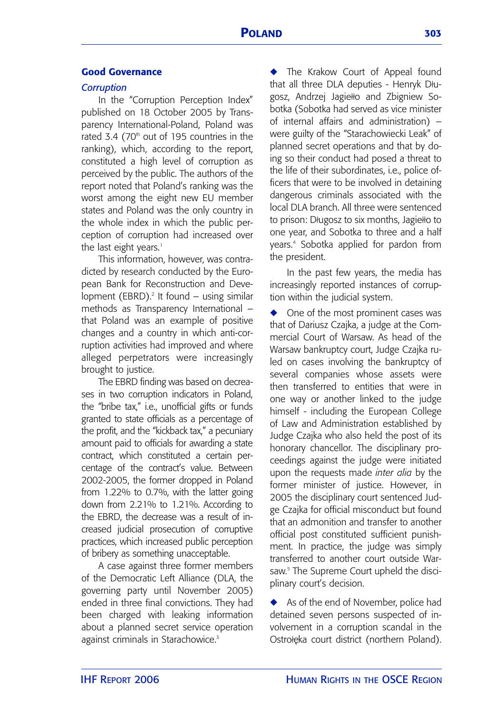# **Good Governance**

#### *Corruption*

In the "Corruption Perception Index" published on 18 October 2005 by Transparency International-Poland, Poland was rated 3.4  $(70<sup>th</sup>$  out of 195 countries in the ranking), which, according to the report, constituted a high level of corruption as perceived by the public. The authors of the report noted that Poland's ranking was the worst among the eight new EU member states and Poland was the only country in the whole index in which the public perception of corruption had increased over the last eight years.<sup>1</sup>

This information, however, was contradicted by research conducted by the European Bank for Reconstruction and Development (EBRD).<sup>2</sup> It found  $-$  using similar methods as Transparency International – that Poland was an example of positive changes and a country in which anti-corruption activities had improved and where alleged perpetrators were increasingly brought to justice.

The EBRD finding was based on decreases in two corruption indicators in Poland, the "bribe tax," i.e., unofficial gifts or funds granted to state officials as a percentage of the profit, and the "kickback tax," a pecuniary amount paid to officials for awarding a state contract, which constituted a certain percentage of the contract's value. Between 2002-2005, the former dropped in Poland from 1.22% to 0.7%, with the latter going down from 2.21% to 1.21%. According to the EBRD, the decrease was a result of increased judicial prosecution of corruptive practices, which increased public perception of bribery as something unacceptable.

A case against three former members of the Democratic Left Alliance (DLA, the governing party until November 2005) ended in three final convictions. They had been charged with leaking information about a planned secret service operation against criminals in Starachowice.<sup>3</sup>

**◆** The Krakow Court of Appeal found that all three DLA deputies - Henryk Długosz, Andrzej Jagiełło and Zbigniew Sobotka (Sobotka had served as vice minister of internal affairs and administration) – were guilty of the "Starachowiecki Leak" of planned secret operations and that by doing so their conduct had posed a threat to the life of their subordinates, i.e., police officers that were to be involved in detaining dangerous criminals associated with the local DLA branch. All three were sentenced to prison: Długosz to six months, Jagiełło to one year, and Sobotka to three and a half years.<sup>4</sup> Sobotka applied for pardon from the president.

In the past few years, the media has increasingly reported instances of corruption within the judicial system.

**◆** One of the most prominent cases was that of Dariusz Czajka, a judge at the Commercial Court of Warsaw. As head of the Warsaw bankruptcy court, Judge Czajka ruled on cases involving the bankruptcy of several companies whose assets were then transferred to entities that were in one way or another linked to the judge himself - including the European College of Law and Administration established by Judge Czajka who also held the post of its honorary chancellor. The disciplinary proceedings against the judge were initiated upon the requests made *inter alia* by the former minister of justice. However, in 2005 the disciplinary court sentenced Judge Czajka for official misconduct but found that an admonition and transfer to another official post constituted sufficient punishment. In practice, the judge was simply transferred to another court outside Warsaw. <sup>5</sup> The Supreme Court upheld the disciplinary court's decision.

◆ As of the end of November, police had detained seven persons suspected of involvement in a corruption scandal in the Ostrołeka court district (northern Poland).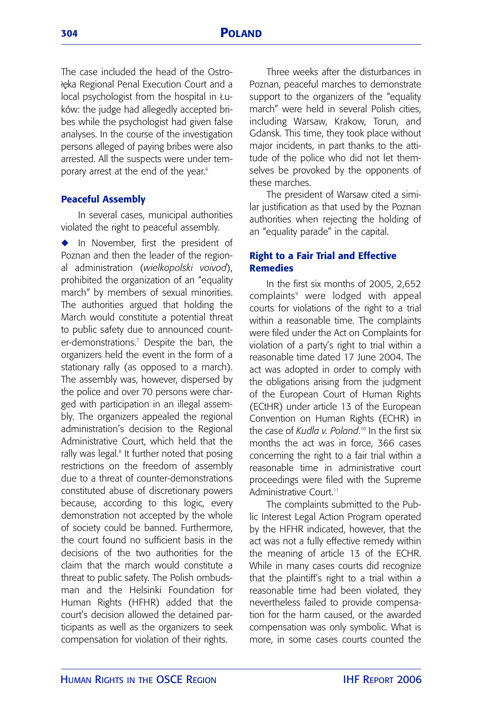The case included the head of the Ostrołeka Regional Penal Execution Court and a local psychologist from the hospital in Łuków: the judge had allegedly accepted bribes while the psychologist had given false analyses. In the course of the investigation persons alleged of paying bribes were also arrested. All the suspects were under temporary arrest at the end of the year. 6

#### **Peaceful Assembly**

In several cases, municipal authorities violated the right to peaceful assembly.

**◆** In November, first the president of Poznan and then the leader of the regional administration (*wielkopolski voivod*), prohibited the organization of an "equality march" by members of sexual minorities. The authorities argued that holding the March would constitute a potential threat to public safety due to announced counter-demonstrations.7 Despite the ban, the organizers held the event in the form of a stationary rally (as opposed to a march). The assembly was, however, dispersed by the police and over 70 persons were charged with participation in an illegal assembly. The organizers appealed the regional administration's decision to the Regional Administrative Court, which held that the rally was legal.<sup>8</sup> It further noted that posing restrictions on the freedom of assembly due to a threat of counter-demonstrations constituted abuse of discretionary powers because, according to this logic, every demonstration not accepted by the whole of society could be banned. Furthermore, the court found no sufficient basis in the decisions of the two authorities for the claim that the march would constitute a threat to public safety. The Polish ombudsman and the Helsinki Foundation for Human Rights (HFHR) added that the court's decision allowed the detained participants as well as the organizers to seek compensation for violation of their rights.

Three weeks after the disturbances in Poznan, peaceful marches to demonstrate support to the organizers of the "equality march" were held in several Polish cities, including Warsaw, Krakow, Torun, and Gdansk. This time, they took place without major incidents, in part thanks to the attitude of the police who did not let themselves be provoked by the opponents of these marches.

The president of Warsaw cited a similar justification as that used by the Poznan authorities when rejecting the holding of an "equality parade" in the capital.

#### **Right to a Fair Trial and Effective Remedies**

In the first six months of 2005, 2,652 complaints<sup>9</sup> were lodged with appeal courts for violations of the right to a trial within a reasonable time. The complaints were filed under the Act on Complaints for violation of a party's right to trial within a reasonable time dated 17 June 2004. The act was adopted in order to comply with the obligations arising from the judgment of the European Court of Human Rights (ECtHR) under article 13 of the European Convention on Human Rights (ECHR) in the case of *Kudla v. Poland*. <sup>10</sup> In the first six months the act was in force, 366 cases concerning the right to a fair trial within a reasonable time in administrative court proceedings were filed with the Supreme Administrative Court<sup>11</sup>

The complaints submitted to the Public Interest Legal Action Program operated by the HFHR indicated, however, that the act was not a fully effective remedy within the meaning of article 13 of the ECHR. While in many cases courts did recognize that the plaintiff's right to a trial within a reasonable time had been violated, they nevertheless failed to provide compensation for the harm caused, or the awarded compensation was only symbolic. What is more, in some cases courts counted the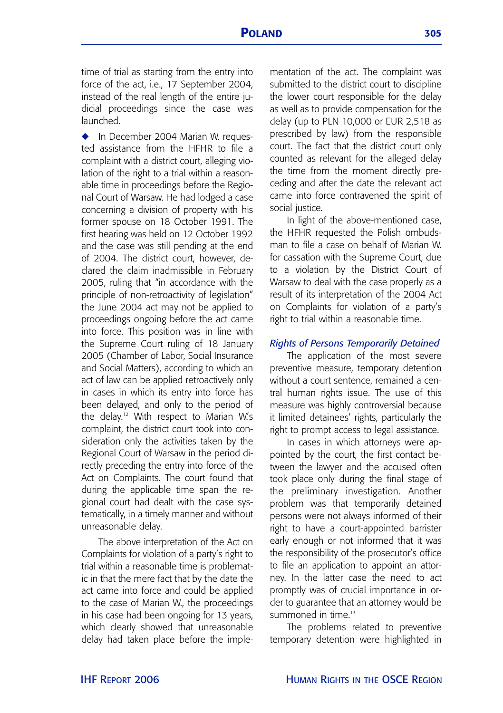time of trial as starting from the entry into force of the act, i.e., 17 September 2004, instead of the real length of the entire judicial proceedings since the case was launched.

◆ In December 2004 Marian W. requested assistance from the HFHR to file a complaint with a district court, alleging violation of the right to a trial within a reasonable time in proceedings before the Regional Court of Warsaw. He had lodged a case concerning a division of property with his former spouse on 18 October 1991. The first hearing was held on 12 October 1992 and the case was still pending at the end of 2004. The district court, however, declared the claim inadmissible in February 2005, ruling that "in accordance with the principle of non-retroactivity of legislation" the June 2004 act may not be applied to proceedings ongoing before the act came into force. This position was in line with the Supreme Court ruling of 18 January 2005 (Chamber of Labor, Social Insurance and Social Matters), according to which an act of law can be applied retroactively only in cases in which its entry into force has been delayed, and only to the period of the delay.<sup>12</sup> With respect to Marian W's complaint, the district court took into consideration only the activities taken by the Regional Court of Warsaw in the period directly preceding the entry into force of the Act on Complaints. The court found that during the applicable time span the regional court had dealt with the case systematically, in a timely manner and without unreasonable delay.

The above interpretation of the Act on Complaints for violation of a party's right to trial within a reasonable time is problematic in that the mere fact that by the date the act came into force and could be applied to the case of Marian W., the proceedings in his case had been ongoing for 13 years, which clearly showed that unreasonable delay had taken place before the implementation of the act. The complaint was submitted to the district court to discipline the lower court responsible for the delay as well as to provide compensation for the delay (up to PLN 10,000 or EUR 2,518 as prescribed by law) from the responsible court. The fact that the district court only counted as relevant for the alleged delay the time from the moment directly preceding and after the date the relevant act came into force contravened the spirit of social justice.

In light of the above-mentioned case, the HFHR requested the Polish ombudsman to file a case on behalf of Marian W. for cassation with the Supreme Court, due to a violation by the District Court of Warsaw to deal with the case properly as a result of its interpretation of the 2004 Act on Complaints for violation of a party's right to trial within a reasonable time.

## *Rights of Persons Temporarily Detained*

The application of the most severe preventive measure, temporary detention without a court sentence, remained a central human rights issue. The use of this measure was highly controversial because it limited detainees' rights, particularly the right to prompt access to legal assistance.

In cases in which attorneys were appointed by the court, the first contact between the lawyer and the accused often took place only during the final stage of the preliminary investigation. Another problem was that temporarily detained persons were not always informed of their right to have a court-appointed barrister early enough or not informed that it was the responsibility of the prosecutor's office to file an application to appoint an attorney. In the latter case the need to act promptly was of crucial importance in order to guarantee that an attorney would be summoned in time<sup>13</sup>

The problems related to preventive temporary detention were highlighted in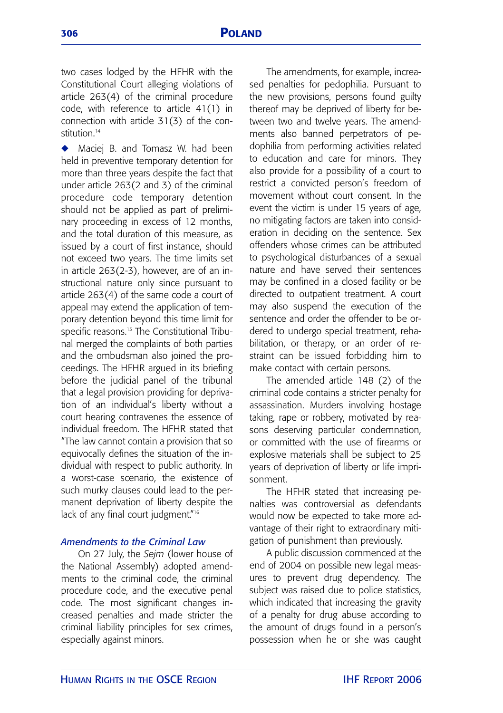two cases lodged by the HFHR with the Constitutional Court alleging violations of article 263(4) of the criminal procedure code, with reference to article 41(1) in connection with article 31(3) of the constitution<sup>14</sup>

◆ Maciei B. and Tomasz W. had been held in preventive temporary detention for more than three years despite the fact that under article 263(2 and 3) of the criminal procedure code temporary detention should not be applied as part of preliminary proceeding in excess of 12 months, and the total duration of this measure, as issued by a court of first instance, should not exceed two years. The time limits set in article 263(2-3), however, are of an instructional nature only since pursuant to article 263(4) of the same code a court of appeal may extend the application of temporary detention beyond this time limit for specific reasons.<sup>15</sup> The Constitutional Tribunal merged the complaints of both parties and the ombudsman also joined the proceedings. The HFHR argued in its briefing before the judicial panel of the tribunal that a legal provision providing for deprivation of an individual's liberty without a court hearing contravenes the essence of individual freedom. The HFHR stated that "The law cannot contain a provision that so equivocally defines the situation of the individual with respect to public authority. In a worst-case scenario, the existence of such murky clauses could lead to the permanent deprivation of liberty despite the lack of any final court judgment."<sup>16</sup>

# *Amendments to the Criminal Law*

On 27 July, the *Sejm* (lower house of the National Assembly) adopted amendments to the criminal code, the criminal procedure code, and the executive penal code. The most significant changes increased penalties and made stricter the criminal liability principles for sex crimes, especially against minors.

The amendments, for example, increased penalties for pedophilia. Pursuant to the new provisions, persons found guilty thereof may be deprived of liberty for between two and twelve years. The amendments also banned perpetrators of pedophilia from performing activities related to education and care for minors. They also provide for a possibility of a court to restrict a convicted person's freedom of movement without court consent. In the event the victim is under 15 years of age, no mitigating factors are taken into consideration in deciding on the sentence. Sex offenders whose crimes can be attributed to psychological disturbances of a sexual nature and have served their sentences may be confined in a closed facility or be directed to outpatient treatment. A court may also suspend the execution of the sentence and order the offender to be ordered to undergo special treatment, rehabilitation, or therapy, or an order of restraint can be issued forbidding him to make contact with certain persons.

The amended article 148 (2) of the criminal code contains a stricter penalty for assassination. Murders involving hostage taking, rape or robbery, motivated by reasons deserving particular condemnation, or committed with the use of firearms or explosive materials shall be subject to 25 years of deprivation of liberty or life imprisonment.

The HFHR stated that increasing penalties was controversial as defendants would now be expected to take more advantage of their right to extraordinary mitigation of punishment than previously.

A public discussion commenced at the end of 2004 on possible new legal measures to prevent drug dependency. The subject was raised due to police statistics, which indicated that increasing the gravity of a penalty for drug abuse according to the amount of drugs found in a person's possession when he or she was caught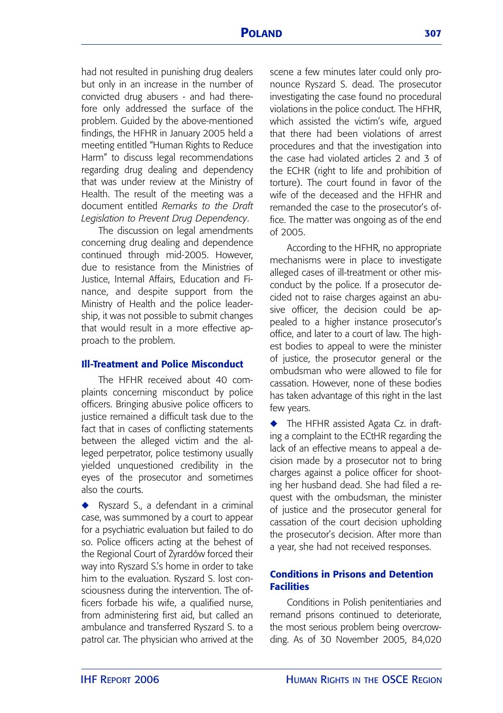had not resulted in punishing drug dealers but only in an increase in the number of convicted drug abusers - and had therefore only addressed the surface of the problem. Guided by the above-mentioned findings, the HFHR in January 2005 held a meeting entitled "Human Rights to Reduce Harm" to discuss legal recommendations regarding drug dealing and dependency that was under review at the Ministry of Health. The result of the meeting was a document entitled *Remarks to the Draft Legislation to Prevent Drug Dependency*.

The discussion on legal amendments concerning drug dealing and dependence continued through mid-2005. However, due to resistance from the Ministries of Justice, Internal Affairs, Education and Finance, and despite support from the Ministry of Health and the police leadership, it was not possible to submit changes that would result in a more effective approach to the problem.

## **Ill-Treatment and Police Misconduct**

The HFHR received about 40 complaints concerning misconduct by police officers. Bringing abusive police officers to justice remained a difficult task due to the fact that in cases of conflicting statements between the alleged victim and the alleged perpetrator, police testimony usually yielded unquestioned credibility in the eyes of the prosecutor and sometimes also the courts.

**◆** Ryszard S., a defendant in a criminal case, was summoned by a court to appear for a psychiatric evaluation but failed to do so. Police officers acting at the behest of the Regional Court of Żyrardów forced their way into Ryszard S.'s home in order to take him to the evaluation. Ryszard S. lost consciousness during the intervention. The officers forbade his wife, a qualified nurse, from administering first aid, but called an ambulance and transferred Ryszard S. to a patrol car. The physician who arrived at the

scene a few minutes later could only pronounce Ryszard S. dead. The prosecutor investigating the case found no procedural violations in the police conduct. The HFHR, which assisted the victim's wife, argued that there had been violations of arrest procedures and that the investigation into the case had violated articles 2 and 3 of the ECHR (right to life and prohibition of torture). The court found in favor of the wife of the deceased and the HFHR and remanded the case to the prosecutor's office. The matter was ongoing as of the end of 2005.

According to the HFHR, no appropriate mechanisms were in place to investigate alleged cases of ill-treatment or other misconduct by the police. If a prosecutor decided not to raise charges against an abusive officer, the decision could be appealed to a higher instance prosecutor's office, and later to a court of law. The highest bodies to appeal to were the minister of justice, the prosecutor general or the ombudsman who were allowed to file for cassation. However, none of these bodies has taken advantage of this right in the last few years.

**◆** The HFHR assisted Agata Cz. in drafting a complaint to the ECtHR regarding the lack of an effective means to appeal a decision made by a prosecutor not to bring charges against a police officer for shooting her husband dead. She had filed a request with the ombudsman, the minister of justice and the prosecutor general for cassation of the court decision upholding the prosecutor's decision. After more than a year, she had not received responses.

# **Conditions in Prisons and Detention Facilities**

Conditions in Polish penitentiaries and remand prisons continued to deteriorate, the most serious problem being overcrowding. As of 30 November 2005, 84,020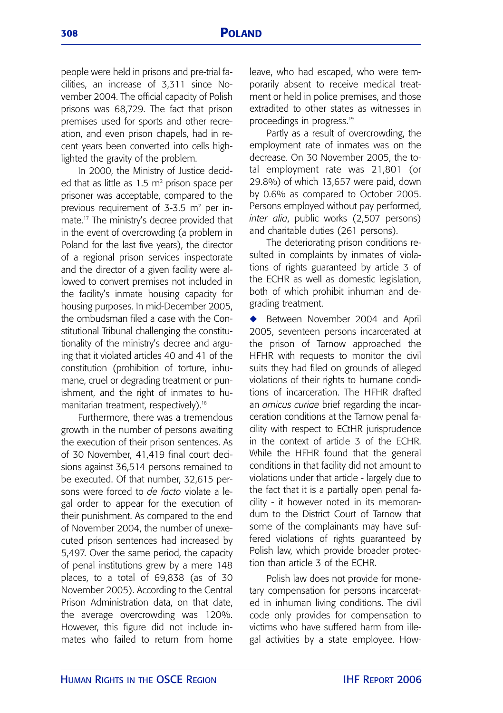people were held in prisons and pre-trial facilities, an increase of 3,311 since November 2004. The official capacity of Polish prisons was 68,729. The fact that prison premises used for sports and other recreation, and even prison chapels, had in recent years been converted into cells highlighted the gravity of the problem.

In 2000, the Ministry of Justice decided that as little as  $1.5 \text{ m}^2$  prison space per prisoner was acceptable, compared to the previous requirement of  $3-3.5$  m<sup>2</sup> per inmate.17 The ministry's decree provided that in the event of overcrowding (a problem in Poland for the last five years), the director of a regional prison services inspectorate and the director of a given facility were allowed to convert premises not included in the facility's inmate housing capacity for housing purposes. In mid-December 2005, the ombudsman filed a case with the Constitutional Tribunal challenging the constitutionality of the ministry's decree and arguing that it violated articles 40 and 41 of the constitution (prohibition of torture, inhumane, cruel or degrading treatment or punishment, and the right of inmates to humanitarian treatment, respectively).<sup>18</sup>

Furthermore, there was a tremendous growth in the number of persons awaiting the execution of their prison sentences. As of 30 November, 41,419 final court decisions against 36,514 persons remained to be executed. Of that number, 32,615 persons were forced to *de facto* violate a legal order to appear for the execution of their punishment. As compared to the end of November 2004, the number of unexecuted prison sentences had increased by 5,497. Over the same period, the capacity of penal institutions grew by a mere 148 places, to a total of 69,838 (as of 30 November 2005). According to the Central Prison Administration data, on that date, the average overcrowding was 120%. However, this figure did not include inmates who failed to return from home leave, who had escaped, who were temporarily absent to receive medical treatment or held in police premises, and those extradited to other states as witnesses in proceedings in progress.19

Partly as a result of overcrowding, the employment rate of inmates was on the decrease. On 30 November 2005, the total employment rate was 21,801 (or 29.8%) of which 13,657 were paid, down by 0.6% as compared to October 2005. Persons employed without pay performed, *inter alia*, public works (2,507 persons) and charitable duties (261 persons).

The deteriorating prison conditions resulted in complaints by inmates of violations of rights guaranteed by article 3 of the ECHR as well as domestic legislation, both of which prohibit inhuman and degrading treatment.

◆ Between November 2004 and April 2005, seventeen persons incarcerated at the prison of Tarnow approached the HFHR with requests to monitor the civil suits they had filed on grounds of alleged violations of their rights to humane conditions of incarceration. The HFHR drafted an *amicus curiae* brief regarding the incarceration conditions at the Tarnow penal facility with respect to ECtHR jurisprudence in the context of article 3 of the ECHR. While the HFHR found that the general conditions in that facility did not amount to violations under that article - largely due to the fact that it is a partially open penal facility - it however noted in its memorandum to the District Court of Tarnow that some of the complainants may have suffered violations of rights guaranteed by Polish law, which provide broader protection than article 3 of the ECHR.

Polish law does not provide for monetary compensation for persons incarcerated in inhuman living conditions. The civil code only provides for compensation to victims who have suffered harm from illegal activities by a state employee. How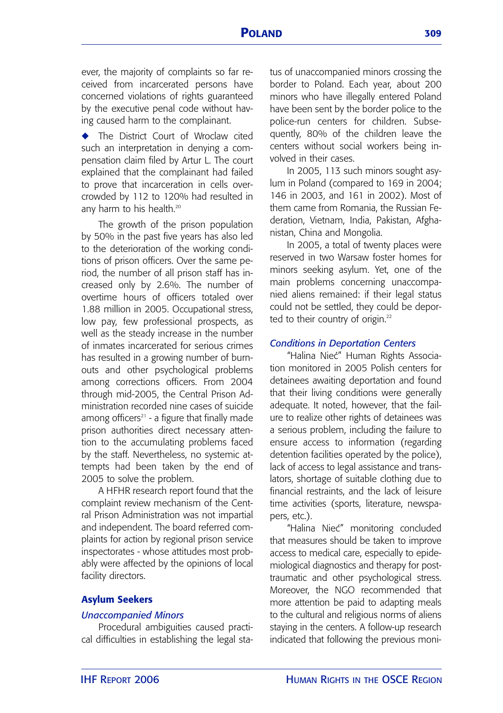ever, the majority of complaints so far received from incarcerated persons have concerned violations of rights guaranteed by the executive penal code without having caused harm to the complainant.

**◆** The District Court of Wroclaw cited such an interpretation in denying a compensation claim filed by Artur L. The court explained that the complainant had failed to prove that incarceration in cells overcrowded by 112 to 120% had resulted in any harm to his health.<sup>20</sup>

The growth of the prison population by 50% in the past five years has also led to the deterioration of the working conditions of prison officers. Over the same period, the number of all prison staff has increased only by 2.6%. The number of overtime hours of officers totaled over 1.88 million in 2005. Occupational stress, low pay, few professional prospects, as well as the steady increase in the number of inmates incarcerated for serious crimes has resulted in a growing number of burnouts and other psychological problems among corrections officers. From 2004 through mid-2005, the Central Prison Administration recorded nine cases of suicide among officers $21$  - a figure that finally made prison authorities direct necessary attention to the accumulating problems faced by the staff. Nevertheless, no systemic attempts had been taken by the end of 2005 to solve the problem.

A HFHR research report found that the complaint review mechanism of the Central Prison Administration was not impartial and independent. The board referred complaints for action by regional prison service inspectorates - whose attitudes most probably were affected by the opinions of local facility directors.

## **Asylum Seekers**

#### *Unaccompanied Minors*

Procedural ambiguities caused practical difficulties in establishing the legal status of unaccompanied minors crossing the border to Poland. Each year, about 200 minors who have illegally entered Poland have been sent by the border police to the police-run centers for children. Subsequently, 80% of the children leave the centers without social workers being involved in their cases.

In 2005, 113 such minors sought asylum in Poland (compared to 169 in 2004; 146 in 2003, and 161 in 2002). Most of them came from Romania, the Russian Federation, Vietnam, India, Pakistan, Afghanistan, China and Mongolia.

In 2005, a total of twenty places were reserved in two Warsaw foster homes for minors seeking asylum. Yet, one of the main problems concerning unaccompanied aliens remained: if their legal status could not be settled, they could be deported to their country of origin.<sup>22</sup>

#### *Conditions in Deportation Centers*

"Halina Nieć" Human Rights Association monitored in 2005 Polish centers for detainees awaiting deportation and found that their living conditions were generally adequate. It noted, however, that the failure to realize other rights of detainees was a serious problem, including the failure to ensure access to information (regarding detention facilities operated by the police), lack of access to legal assistance and translators, shortage of suitable clothing due to financial restraints, and the lack of leisure time activities (sports, literature, newspapers, etc.).

"Halina Niec´" monitoring concluded that measures should be taken to improve access to medical care, especially to epidemiological diagnostics and therapy for posttraumatic and other psychological stress. Moreover, the NGO recommended that more attention be paid to adapting meals to the cultural and religious norms of aliens staying in the centers. A follow-up research indicated that following the previous moni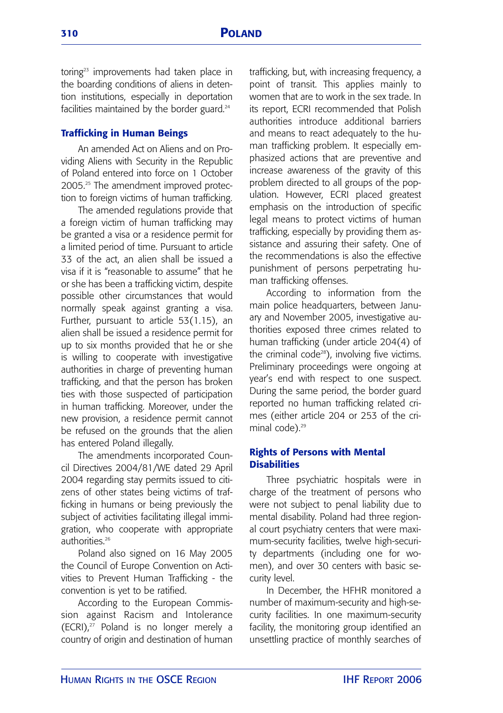toring<sup>23</sup> improvements had taken place in the boarding conditions of aliens in detention institutions, especially in deportation facilities maintained by the border guard.<sup>24</sup>

#### **Trafficking in Human Beings**

An amended Act on Aliens and on Providing Aliens with Security in the Republic of Poland entered into force on 1 October 2005.25 The amendment improved protection to foreign victims of human trafficking.

The amended regulations provide that a foreign victim of human trafficking may be granted a visa or a residence permit for a limited period of time. Pursuant to article 33 of the act, an alien shall be issued a visa if it is "reasonable to assume" that he or she has been a trafficking victim, despite possible other circumstances that would normally speak against granting a visa. Further, pursuant to article 53(1.15), an alien shall be issued a residence permit for up to six months provided that he or she is willing to cooperate with investigative authorities in charge of preventing human trafficking, and that the person has broken ties with those suspected of participation in human trafficking. Moreover, under the new provision, a residence permit cannot be refused on the grounds that the alien has entered Poland illegally.

The amendments incorporated Council Directives 2004/81/WE dated 29 April 2004 regarding stay permits issued to citizens of other states being victims of trafficking in humans or being previously the subject of activities facilitating illegal immigration, who cooperate with appropriate authorities.<sup>26</sup>

Poland also signed on 16 May 2005 the Council of Europe Convention on Activities to Prevent Human Trafficking - the convention is yet to be ratified.

According to the European Commission against Racism and Intolerance  $(ECRI)<sup>27</sup>$  Poland is no longer merely a country of origin and destination of human trafficking, but, with increasing frequency, a point of transit. This applies mainly to women that are to work in the sex trade. In its report, ECRI recommended that Polish authorities introduce additional barriers and means to react adequately to the human trafficking problem. It especially emphasized actions that are preventive and increase awareness of the gravity of this problem directed to all groups of the population. However, ECRI placed greatest emphasis on the introduction of specific legal means to protect victims of human trafficking, especially by providing them assistance and assuring their safety. One of the recommendations is also the effective punishment of persons perpetrating human trafficking offenses.

According to information from the main police headquarters, between January and November 2005, investigative authorities exposed three crimes related to human trafficking (under article 204(4) of the criminal code<sup>28</sup>), involving five victims. Preliminary proceedings were ongoing at year's end with respect to one suspect. During the same period, the border guard reported no human trafficking related crimes (either article 204 or 253 of the criminal code).<sup>29</sup>

# **Rights of Persons with Mental Disabilities**

Three psychiatric hospitals were in charge of the treatment of persons who were not subject to penal liability due to mental disability. Poland had three regional court psychiatry centers that were maximum-security facilities, twelve high-security departments (including one for women), and over 30 centers with basic security level.

In December, the HFHR monitored a number of maximum-security and high-security facilities. In one maximum-security facility, the monitoring group identified an unsettling practice of monthly searches of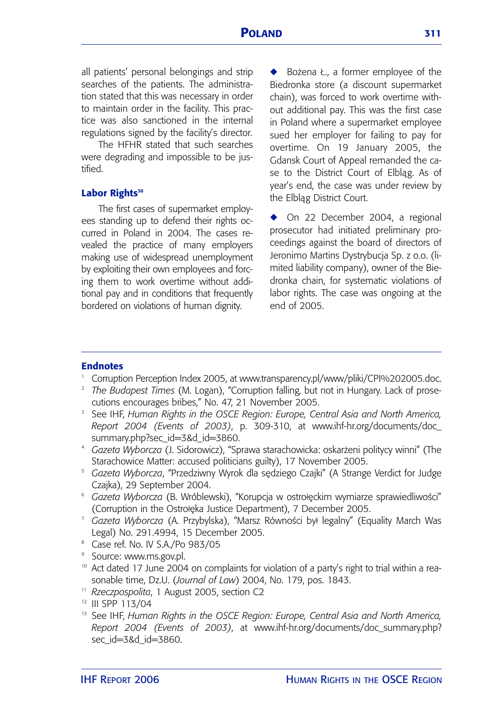all patients' personal belongings and strip searches of the patients. The administration stated that this was necessary in order to maintain order in the facility. This practice was also sanctioned in the internal regulations signed by the facility's director.

The HFHR stated that such searches were degrading and impossible to be justified.

#### Labor Rights<sup>30</sup>

The first cases of supermarket employees standing up to defend their rights occurred in Poland in 2004. The cases revealed the practice of many employers making use of widespread unemployment by exploiting their own employees and forcing them to work overtime without additional pay and in conditions that frequently bordered on violations of human dignity.

◆ Bożena Ł., a former employee of the Biedronka store (a discount supermarket chain), was forced to work overtime without additional pay. This was the first case in Poland where a supermarket employee sued her employer for failing to pay for overtime. On 19 January 2005, the Gdansk Court of Appeal remanded the case to the District Court of Elblag. As of year's end, the case was under review by the Elblag District Court.

◆ On 22 December 2004, a regional prosecutor had initiated preliminary proceedings against the board of directors of Jeronimo Martins Dystrybucja Sp. z o.o. (limited liability company), owner of the Biedronka chain, for systematic violations of labor rights. The case was ongoing at the end of 2005.

## **Endnotes**

- Corruption Perception Index 2005, at www.transparency.pl/www/pliki/CPI%202005.doc.
- <sup>2</sup> *The Budapest Times* (M. Logan), "Corruption falling, but not in Hungary. Lack of prosecutions encourages bribes," No. 47, 21 November 2005.
- <sup>3</sup> See IHF, *Human Rights in the OSCE Region: Europe, Central Asia and North America, Report 2004 (Events of 2003)*, p. 309-310, at www.ihf-hr.org/documents/doc\_ summary.php?sec\_id=3&d\_id=3860.<br>4 *Gazeta Wyborcza (J. Sidorowicz), "Sprawa starachowicka: oskarżeni politycy winni" (The*
- Starachowice Matter: accused politicians guilty), 17 November 2005.
- Gazeta Wyborcza, "Przedziwny Wyrok dla sedziego Czajki" (A Strange Verdict for Judge Czajka), 29 September 2004.
- <sup>6</sup> Gazeta Wyborcza (B. Wróblewski), "Korupcja w ostrołęckim wymiarze sprawiedliwości" (Corruption in the Ostrołęka Justice Department), 7 December 2005.
- Gazeta Wyborcza (A. Przybylska), "Marsz Równości był legalny" (Equality March Was Legal) No. 291.4994, 15 December 2005.
- <sup>8</sup> Case ref. No. IV S.A./Po 983/05
- 
- <sup>9</sup> Source: www.ms.gov.pl.<br><sup>10</sup> Act dated 17 June 2004 on complaints for violation of a party's right to trial within a reasonable time, Dz.U. (*Journal of Law*) 2004, No. 179, pos. 1843. 11 *Rzeczpospolita*, <sup>1</sup> August 2005, section C2
- 
- <sup>12</sup> III SPP 113/04
- <sup>13</sup> See IHF, *Human Rights in the OSCE Region: Europe, Central Asia and North America, Report 2004 (Events of 2003)*, at www.ihf-hr.org/documents/doc\_summary.php? sec\_id=3&d\_id=3860.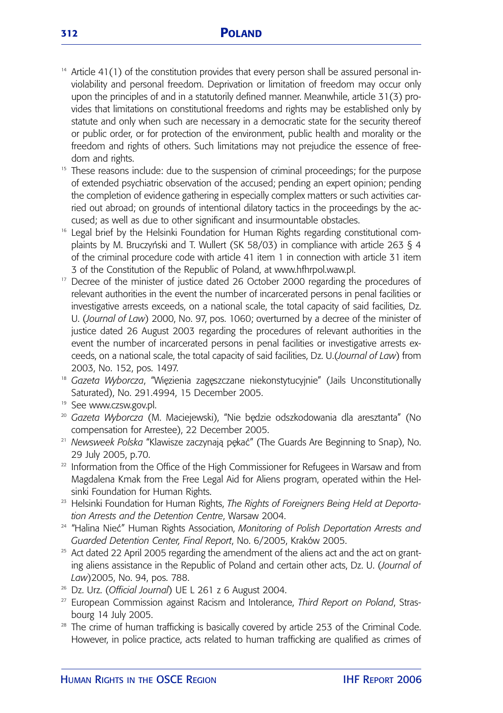- $14$  Article 41(1) of the constitution provides that every person shall be assured personal inviolability and personal freedom. Deprivation or limitation of freedom may occur only upon the principles of and in a statutorily defined manner. Meanwhile, article 31(3) provides that limitations on constitutional freedoms and rights may be established only by statute and only when such are necessary in a democratic state for the security thereof or public order, or for protection of the environment, public health and morality or the freedom and rights of others. Such limitations may not prejudice the essence of freedom and rights.
- <sup>15</sup> These reasons include: due to the suspension of criminal proceedings; for the purpose of extended psychiatric observation of the accused; pending an expert opinion; pending the completion of evidence gathering in especially complex matters or such activities carried out abroad; on grounds of intentional dilatory tactics in the proceedings by the accused; as well as due to other significant and insurmountable obstacles.
- <sup>16</sup> Legal brief by the Helsinki Foundation for Human Rights regarding constitutional complaints by M. Bruczyński and T. Wullert (SK 58/03) in compliance with article 263 § 4 of the criminal procedure code with article 41 item 1 in connection with article 31 item 3 of the Constitution of the Republic of Poland, at www.hfhrpol.waw.pl.
- Decree of the minister of justice dated 26 October 2000 regarding the procedures of relevant authorities in the event the number of incarcerated persons in penal facilities or investigative arrests exceeds, on a national scale, the total capacity of said facilities, Dz. U. (*Journal of Law*) 2000, No. 97, pos. 1060; overturned by a decree of the minister of justice dated 26 August 2003 regarding the procedures of relevant authorities in the event the number of incarcerated persons in penal facilities or investigative arrests exceeds, on a national scale, the total capacity of said facilities, Dz. U.(*Journal of Law*) from 2003, No. 152, pos. 1497.
- <sup>18</sup> Gazeta Wyborcza, "Więzienia zagęszczane niekonstytucyjnie" (Jails Unconstitutionally Saturated), No. 291.4994, 15 December 2005.
- <sup>19</sup> See www.czsw.gov.pl.
- <sup>20</sup> Gazeta Wyborcza (M. Maciejewski), "Nie będzie odszkodowania dla aresztanta" (No compensation for Arrestee), 22 December 2005.
- <sup>21</sup> Newsweek Polska "Klawisze zaczynają pękać" (The Guards Are Beginning to Snap), No. 29 July 2005, p.70.
- <sup>22</sup> Information from the Office of the High Commissioner for Refugees in Warsaw and from Magdalena Kmak from the Free Legal Aid for Aliens program, operated within the Helsinki Foundation for Human Rights.
- <sup>23</sup> Helsinki Foundation for Human Rights, The Rights of Foreigners Being Held at Deporta*tion Arrests and the Detention Centre*, Warsaw 2004.
- <sup>24</sup> "Halina Nieć" Human Rights Association, *Monitoring of Polish Deportation Arrests and Guarded Detention Center, Final Report*, No. 6/2005, Kraków 2005.
- <sup>25</sup> Act dated 22 April 2005 regarding the amendment of the aliens act and the act on granting aliens assistance in the Republic of Poland and certain other acts, Dz. U. (*Journal of Law*)2005, No. 94, pos. 788.
- <sup>26</sup> Dz. Urz. (*Official Journal*) UE L 261 z 6 August 2004.
- <sup>27</sup> European Commission against Racism and Intolerance, *Third Report on Poland*, Strasbourg 14 July 2005. 28 The crime of human trafficking is basically covered by article 253 of the Criminal Code.
- However, in police practice, acts related to human trafficking are qualified as crimes of